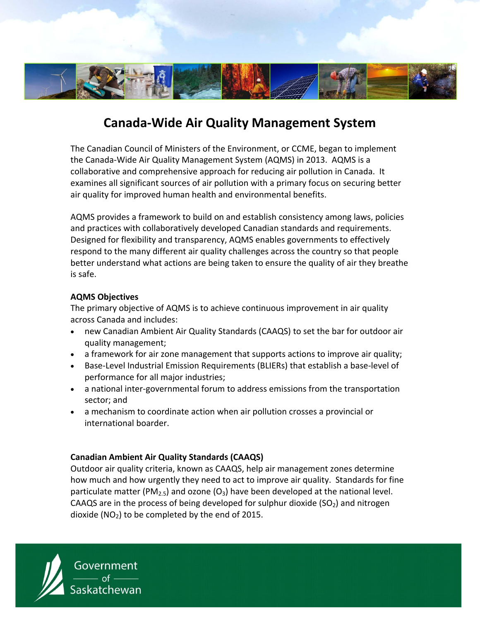

# **Canada‐Wide Air Quality Management System**

The Canadian Council of Ministers of the Environment, or CCME, began to implement the Canada‐Wide Air Quality Management System (AQMS) in 2013. AQMS is a collaborative and comprehensive approach for reducing air pollution in Canada. It examines all significant sources of air pollution with a primary focus on securing better air quality for improved human health and environmental benefits.

AQMS provides a framework to build on and establish consistency among laws, policies and practices with collaboratively developed Canadian standards and requirements. Designed for flexibility and transparency, AQMS enables governments to effectively respond to the many different air quality challenges across the country so that people better understand what actions are being taken to ensure the quality of air they breathe is safe.

## **AQMS Objectives**

The primary objective of AQMS is to achieve continuous improvement in air quality across Canada and includes:

- new Canadian Ambient Air Quality Standards (CAAQS) to set the bar for outdoor air quality management;
- a framework for air zone management that supports actions to improve air quality;
- Base-Level Industrial Emission Requirements (BLIERs) that establish a base-level of performance for all major industries;
- a national inter-governmental forum to address emissions from the transportation sector; and
- a mechanism to coordinate action when air pollution crosses a provincial or international boarder.

# **Canadian Ambient Air Quality Standards (CAAQS)**

Outdoor air quality criteria, known as CAAQS, help air management zones determine how much and how urgently they need to act to improve air quality. Standards for fine particulate matter (PM<sub>2.5</sub>) and ozone (O<sub>3</sub>) have been developed at the national level. CAAQS are in the process of being developed for sulphur dioxide  $(SO<sub>2</sub>)$  and nitrogen dioxide ( $NO<sub>2</sub>$ ) to be completed by the end of 2015.